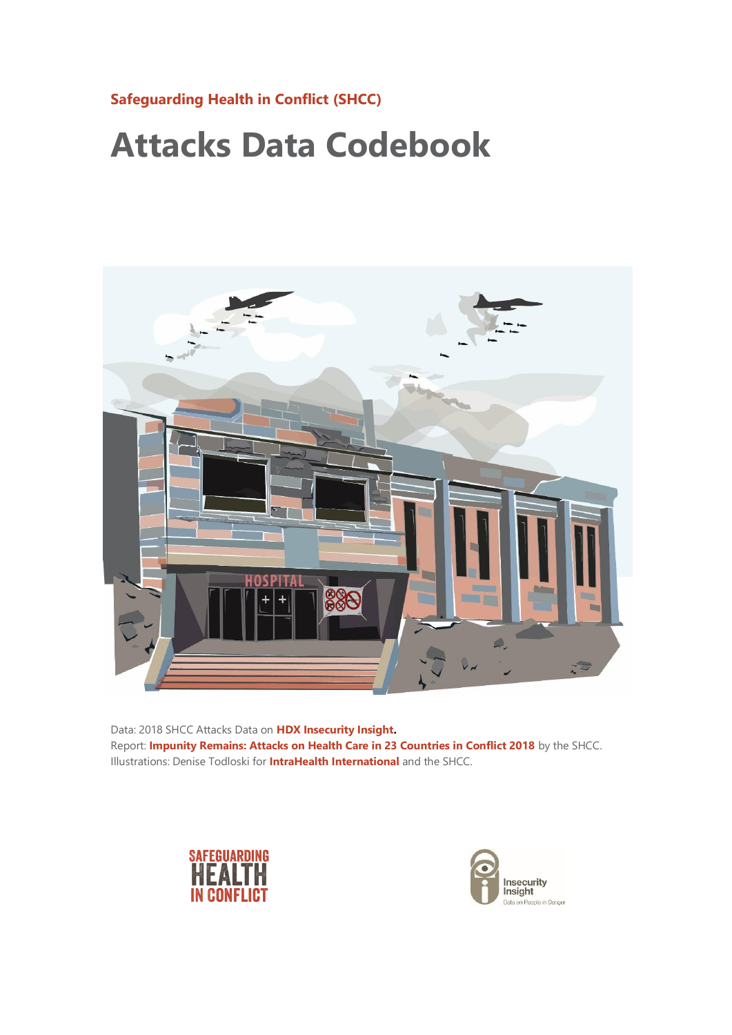## **[Safeguarding Health in Conflict \(SHCC\)](https://www.safeguardinghealth.org/)**

## **Attacks Data Codebook**



Data: 2018 SHCC Attacks Data on **[HDX Insecurity Insight.](https://data.humdata.org/dataset/shcchealthcare-dataset)** Report: **[Impunity Remains: Attacks on Health Care in 23 Countries in Conflict 2018](http://bit.ly/2Hem2vV)** by the SHCC. Illustrations: Denise Todloski for **[IntraHealth International](https://www.intrahealth.org/)** and the SHCC.



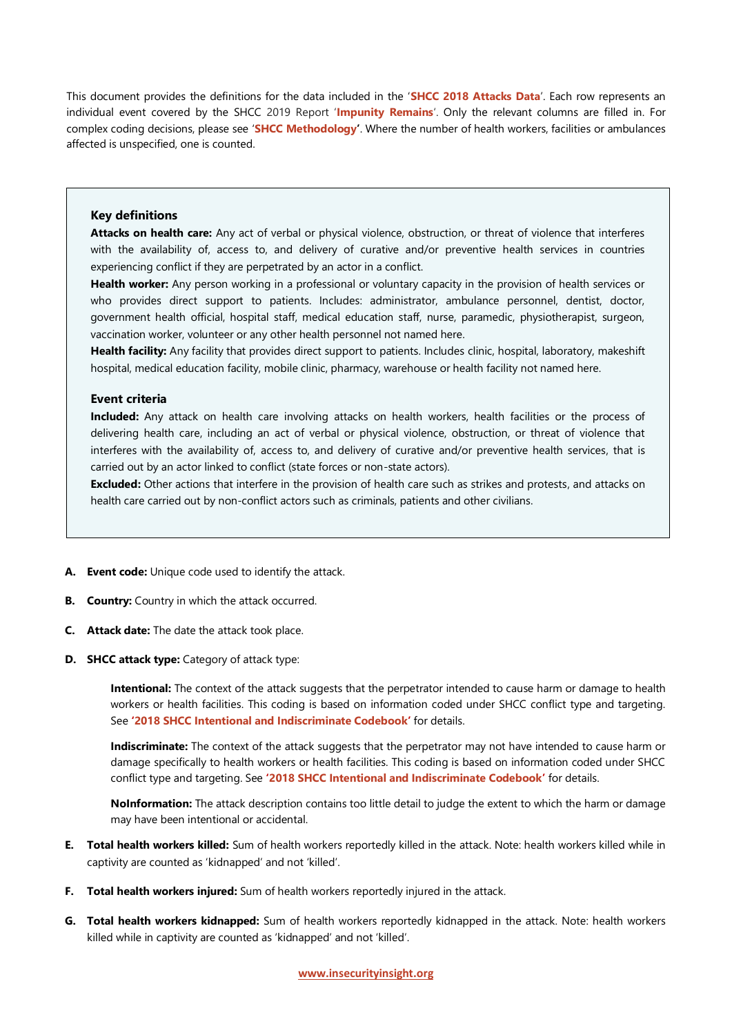This document provides the definitions for the data included in the '**[SHCC 2018 Attacks Data](https://data.humdata.org/dataset/shcchealthcare-dataset)**'. Each row represents an individual event covered by the SHCC 2019 Report '**[Impunity Remains](http://bit.ly/2Hem2vV)**'. Only the relevant columns are filled in. For complex coding decisions, please see '**[SHCC Methodology](http://insecurityinsight.org/methodology-and-definitions#section_attacks_on_health_care)'**. Where the number of health workers, facilities or ambulances affected is unspecified, one is counted.

## **Key definitions**

**Attacks on health care:** Any act of verbal or physical violence, obstruction, or threat of violence that interferes with the availability of, access to, and delivery of curative and/or preventive health services in countries experiencing conflict if they are perpetrated by an actor in a conflict.

**Health worker:** Any person working in a professional or voluntary capacity in the provision of health services or who provides direct support to patients. Includes: administrator, ambulance personnel, dentist, doctor, government health official, hospital staff, medical education staff, nurse, paramedic, physiotherapist, surgeon, vaccination worker, volunteer or any other health personnel not named here.

**Health facility:** Any facility that provides direct support to patients. Includes clinic, hospital, laboratory, makeshift hospital, medical education facility, mobile clinic, pharmacy, warehouse or health facility not named here.

## **Event criteria**

**Included:** Any attack on health care involving attacks on health workers, health facilities or the process of delivering health care, including an act of verbal or physical violence, obstruction, or threat of violence that interferes with the availability of, access to, and delivery of curative and/or preventive health services, that is carried out by an actor linked to conflict (state forces or non-state actors).

**Excluded:** Other actions that interfere in the provision of health care such as strikes and protests, and attacks on health care carried out by non-conflict actors such as criminals, patients and other civilians.

- **A. Event code:** Unique code used to identify the attack.
- **B. Country:** Country in which the attack occurred.
- **C. Attack date:** The date the attack took place.
- **D. SHCC attack type:** Category of attack type:

**Intentional:** The context of the attack suggests that the perpetrator intended to cause harm or damage to health workers or health facilities. This coding is based on information coded under SHCC conflict type and targeting. See **'[2018 SHCC Intentional and Indiscriminate Codebook](http://insecurityinsight.org/methodology-and-definitions#section_attacks_on_health_care)'** for details.

**Indiscriminate:** The context of the attack suggests that the perpetrator may not have intended to cause harm or damage specifically to health workers or health facilities. This coding is based on information coded under SHCC conflict type and targeting. See **'[2018 SHCC Intentional and Indiscriminate Codebook](http://insecurityinsight.org/methodology-and-definitions#section_attacks_on_health_care)'** for details.

**NoInformation:** The attack description contains too little detail to judge the extent to which the harm or damage may have been intentional or accidental.

- **E. Total health workers killed:** Sum of health workers reportedly killed in the attack. Note: health workers killed while in captivity are counted as 'kidnapped' and not 'killed'.
- **F. Total health workers injured:** Sum of health workers reportedly injured in the attack.
- **G. Total health workers kidnapped:** Sum of health workers reportedly kidnapped in the attack. Note: health workers killed while in captivity are counted as 'kidnapped' and not 'killed'.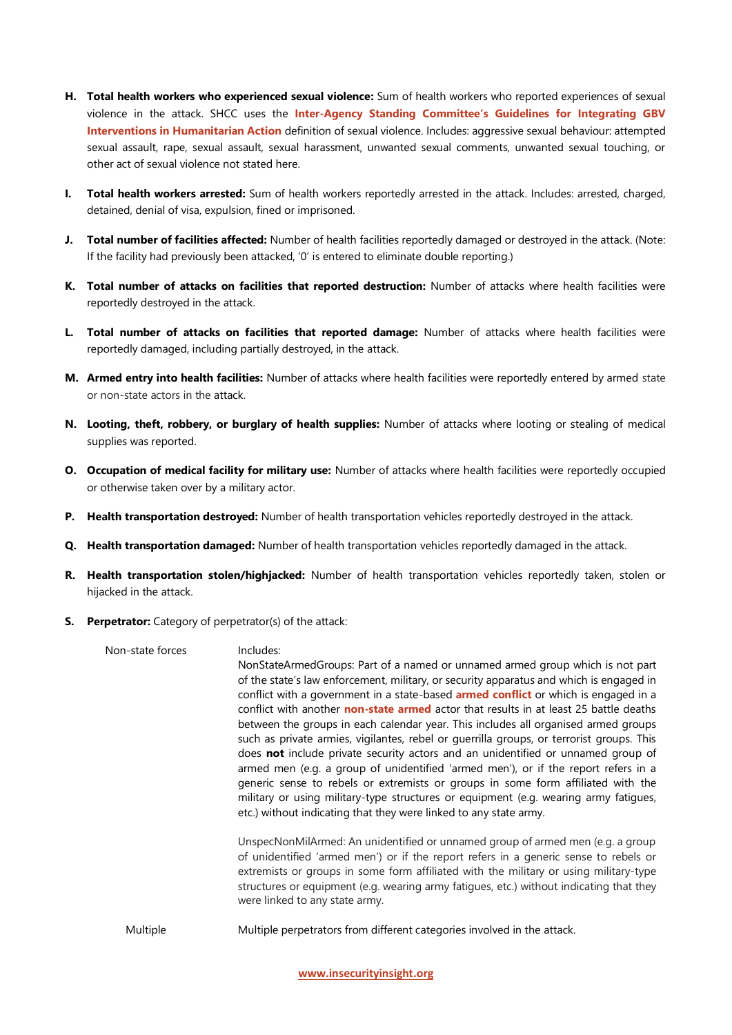- **H. Total health workers who experienced sexual violence:** Sum of health workers who reported experiences of sexual violence in the attack. SHCC uses the **Inter-[Agency Standing Committee's Guidelines for Integrating GBV](https://gbvguidelines.org/wp/wp-content/uploads/2015/09/2015-IASC-Gender-based-Violence-Guidelines_lo-res.pdf)  [Interventions in Humanitarian Action](https://gbvguidelines.org/wp/wp-content/uploads/2015/09/2015-IASC-Gender-based-Violence-Guidelines_lo-res.pdf)** definition of sexual violence. Includes: aggressive sexual behaviour: attempted sexual assault, rape, sexual assault, sexual harassment, unwanted sexual comments, unwanted sexual touching, or other act of sexual violence not stated here.
- **I. Total health workers arrested:** Sum of health workers reportedly arrested in the attack. Includes: arrested, charged, detained, denial of visa, expulsion, fined or imprisoned.
- **J. Total number of facilities affected:** Number of health facilities reportedly damaged or destroyed in the attack. (Note: If the facility had previously been attacked, '0' is entered to eliminate double reporting.)
- **K. Total number of attacks on facilities that reported destruction:** Number of attacks where health facilities were reportedly destroyed in the attack.
- **L. Total number of attacks on facilities that reported damage:** Number of attacks where health facilities were reportedly damaged, including partially destroyed, in the attack.
- **M. Armed entry into health facilities:** Number of attacks where health facilities were reportedly entered by armed state or non-state actors in the attack.
- **N. Looting, theft, robbery, or burglary of health supplies:** Number of attacks where looting or stealing of medical supplies was reported.
- **O. Occupation of medical facility for military use:** Number of attacks where health facilities were reportedly occupied or otherwise taken over by a military actor.
- **P. Health transportation destroyed:** Number of health transportation vehicles reportedly destroyed in the attack.
- **Q. Health transportation damaged:** Number of health transportation vehicles reportedly damaged in the attack.
- **R. Health transportation stolen/highjacked:** Number of health transportation vehicles reportedly taken, stolen or hijacked in the attack.
- **S. Perpetrator:** Category of perpetrator(s) of the attack:

| Non-state forces | Includes:                                                                                                                                                                                                                                                                                                                                                                                                                                                                                                                                                                                                                                                                                                                                                                                                                                                                                                                                                                    |
|------------------|------------------------------------------------------------------------------------------------------------------------------------------------------------------------------------------------------------------------------------------------------------------------------------------------------------------------------------------------------------------------------------------------------------------------------------------------------------------------------------------------------------------------------------------------------------------------------------------------------------------------------------------------------------------------------------------------------------------------------------------------------------------------------------------------------------------------------------------------------------------------------------------------------------------------------------------------------------------------------|
|                  | NonStateArmedGroups: Part of a named or unnamed armed group which is not part<br>of the state's law enforcement, military, or security apparatus and which is engaged in<br>conflict with a government in a state-based <b>armed conflict</b> or which is engaged in a<br>conflict with another non-state armed actor that results in at least 25 battle deaths<br>between the groups in each calendar year. This includes all organised armed groups<br>such as private armies, vigilantes, rebel or guerrilla groups, or terrorist groups. This<br>does not include private security actors and an unidentified or unnamed group of<br>armed men (e.g. a group of unidentified 'armed men'), or if the report refers in a<br>generic sense to rebels or extremists or groups in some form affiliated with the<br>military or using military-type structures or equipment (e.g. wearing army fatigues,<br>etc.) without indicating that they were linked to any state army. |
|                  | UnspecNonMilArmed: An unidentified or unnamed group of armed men (e.g. a group<br>of unidentified 'armed men') or if the report refers in a generic sense to rebels or<br>extremists or groups in some form affiliated with the military or using military-type<br>structures or equipment (e.g. wearing army fatigues, etc.) without indicating that they<br>were linked to any state army.                                                                                                                                                                                                                                                                                                                                                                                                                                                                                                                                                                                 |
| Multiple         | Multiple perpetrators from different categories involved in the attack.                                                                                                                                                                                                                                                                                                                                                                                                                                                                                                                                                                                                                                                                                                                                                                                                                                                                                                      |